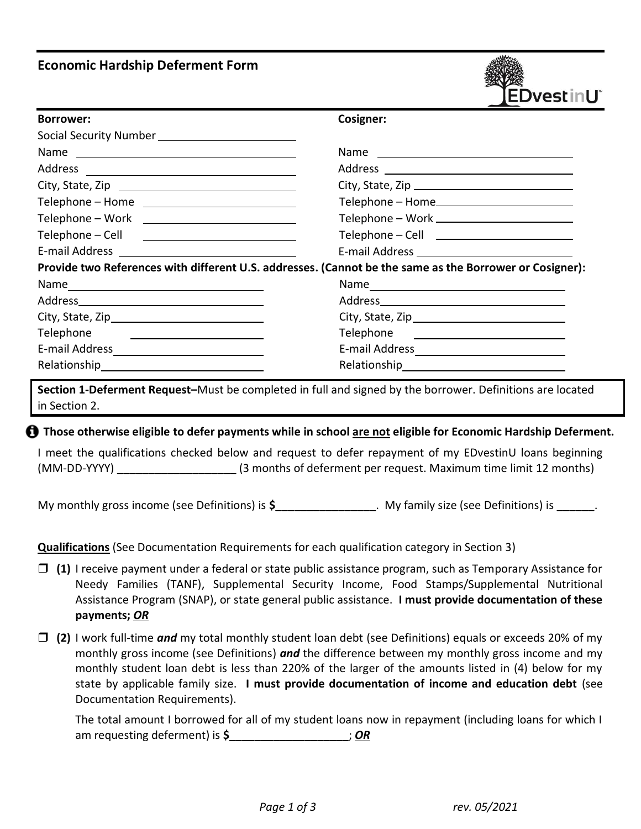# **Economic Hardship Deferment Form**



| <b>Borrower:</b>                                                                                        | Cosigner:                                      |  |
|---------------------------------------------------------------------------------------------------------|------------------------------------------------|--|
|                                                                                                         |                                                |  |
|                                                                                                         |                                                |  |
|                                                                                                         |                                                |  |
|                                                                                                         |                                                |  |
| Telephone – Home _____________________________                                                          | Telephone – Home                               |  |
| Telephone – Work New York New York                                                                      | Telephone - Work ___________________________   |  |
|                                                                                                         | Telephone - Cell ________________________      |  |
|                                                                                                         | E-mail Address _______________________________ |  |
| Provide two References with different U.S. addresses. (Cannot be the same as the Borrower or Cosigner): |                                                |  |
|                                                                                                         |                                                |  |
|                                                                                                         |                                                |  |
|                                                                                                         |                                                |  |
| Telephone<br><u> 1980 - Andrea Brand, Amerikaansk politik (</u>                                         |                                                |  |
|                                                                                                         |                                                |  |
|                                                                                                         |                                                |  |

**Section 1-Deferment Request–**Must be completed in full and signed by the borrower. Definitions are located in Section 2.

### **Those otherwise eligible to defer payments while in school are not eligible for Economic Hardship Deferment.**

I meet the qualifications checked below and request to defer repayment of my EDvestinU loans beginning (MM-DD-YYYY) **\_\_\_\_\_\_\_\_\_\_\_\_\_\_\_\_\_\_\_** (3 months of deferment per request. Maximum time limit 12 months)

My monthly gross income (see Definitions) is **\$\_\_\_\_\_\_\_\_\_\_\_\_\_\_\_\_**. My family size (see Definitions) is **\_\_\_\_\_\_**.

**Qualifications** (See Documentation Requirements for each qualification category in Section 3)

- **(1)** I receive payment under a federal or state public assistance program, such as Temporary Assistance for Needy Families (TANF), Supplemental Security Income, Food Stamps/Supplemental Nutritional Assistance Program (SNAP), or state general public assistance. **I must provide documentation of these payments;** *OR*
- **(2)** I work full-time *and* my total monthly student loan debt (see Definitions) equals or exceeds 20% of my monthly gross income (see Definitions) *and* the difference between my monthly gross income and my monthly student loan debt is less than 220% of the larger of the amounts listed in (4) below for my state by applicable family size. **I must provide documentation of income and education debt** (see Documentation Requirements).

The total amount I borrowed for all of my student loans now in repayment (including loans for which I am requesting deferment) is **\$\_\_\_\_\_\_\_\_\_\_\_\_\_\_\_\_\_\_\_**; *OR*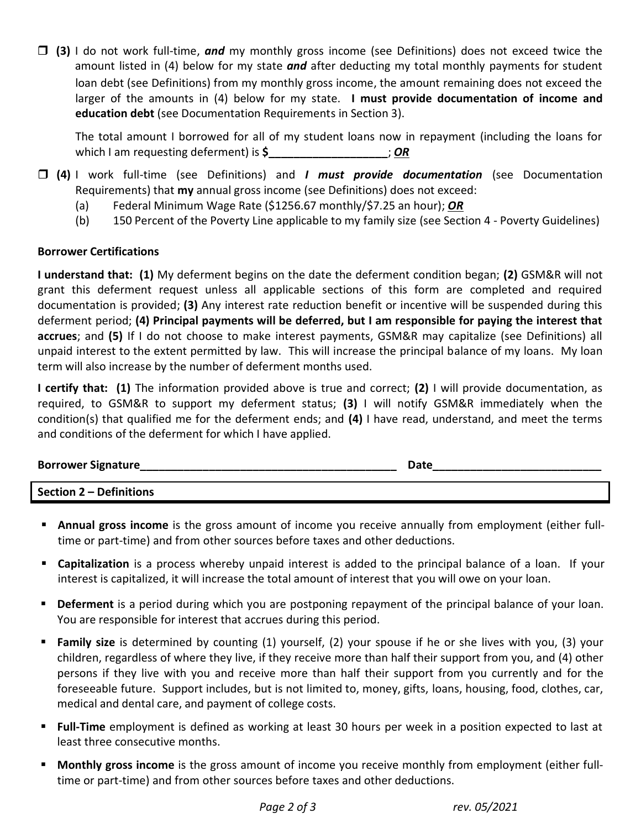loan debt (see Definitions) from my monthly gross income, the amount remaining does not exceed the larger of the amounts in (4) below for my state. **I must provide documentation of income and education debt** (see Documentation Requirements in Section 3). **(3)** I do not work full-time, *and* my monthly gross income (see Definitions) does not exceed twice the amount listed in (4) below for my state *and* after deducting my total monthly payments for student

The total amount I borrowed for all of my student loans now in repayment (including the loans for which I am requesting deferment) is **\$\_\_\_\_\_\_\_\_\_\_\_\_\_\_\_\_\_\_\_**; *OR*

- **(4)** I work full-time (see Definitions) and *I must provide documentation* (see Documentation Requirements) that **my** annual gross income (see Definitions) does not exceed:
	- (a) Federal Minimum Wage Rate (\$1256.67 monthly/\$7.25 an hour); *OR*
	- (b) 150 Percent of the Poverty Line applicable to my family size (see Section 4 Poverty Guidelines)

## **Borrower Certifications**

**I understand that: (1)** My deferment begins on the date the deferment condition began; **(2)** GSM&R will not grant this deferment request unless all applicable sections of this form are completed and required documentation is provided; **(3)** Any interest rate reduction benefit or incentive will be suspended during this deferment period; **(4) Principal payments will be deferred, but I am responsible for paying the interest that accrues**; and **(5)** If I do not choose to make interest payments, GSM&R may capitalize (see Definitions) all unpaid interest to the extent permitted by law. This will increase the principal balance of my loans. My loan term will also increase by the number of deferment months used.

**I certify that: (1)** The information provided above is true and correct; **(2)** I will provide documentation, as required, to GSM&R to support my deferment status; **(3)** I will notify GSM&R immediately when the condition(s) that qualified me for the deferment ends; and **(4)** I have read, understand, and meet the terms and conditions of the deferment for which I have applied.

# **Borrower Signature**

**Section 2 – Definitions** 

- **Annual gross income** is the gross amount of income you receive annually from employment (either fulltime or part-time) and from other sources before taxes and other deductions.
- **Capitalization** is a process whereby unpaid interest is added to the principal balance of a loan. If your interest is capitalized, it will increase the total amount of interest that you will owe on your loan.
- **Deferment** is a period during which you are postponing repayment of the principal balance of your loan. You are responsible for interest that accrues during this period.
- **Family size** is determined by counting (1) yourself, (2) your spouse if he or she lives with you, (3) your children, regardless of where they live, if they receive more than half their support from you, and (4) other persons if they live with you and receive more than half their support from you currently and for the foreseeable future. Support includes, but is not limited to, money, gifts, loans, housing, food, clothes, car, medical and dental care, and payment of college costs.
- **Full-Time** employment is defined as working at least 30 hours per week in a position expected to last at least three consecutive months.
- **Monthly gross income** is the gross amount of income you receive monthly from employment (either fulltime or part-time) and from other sources before taxes and other deductions.